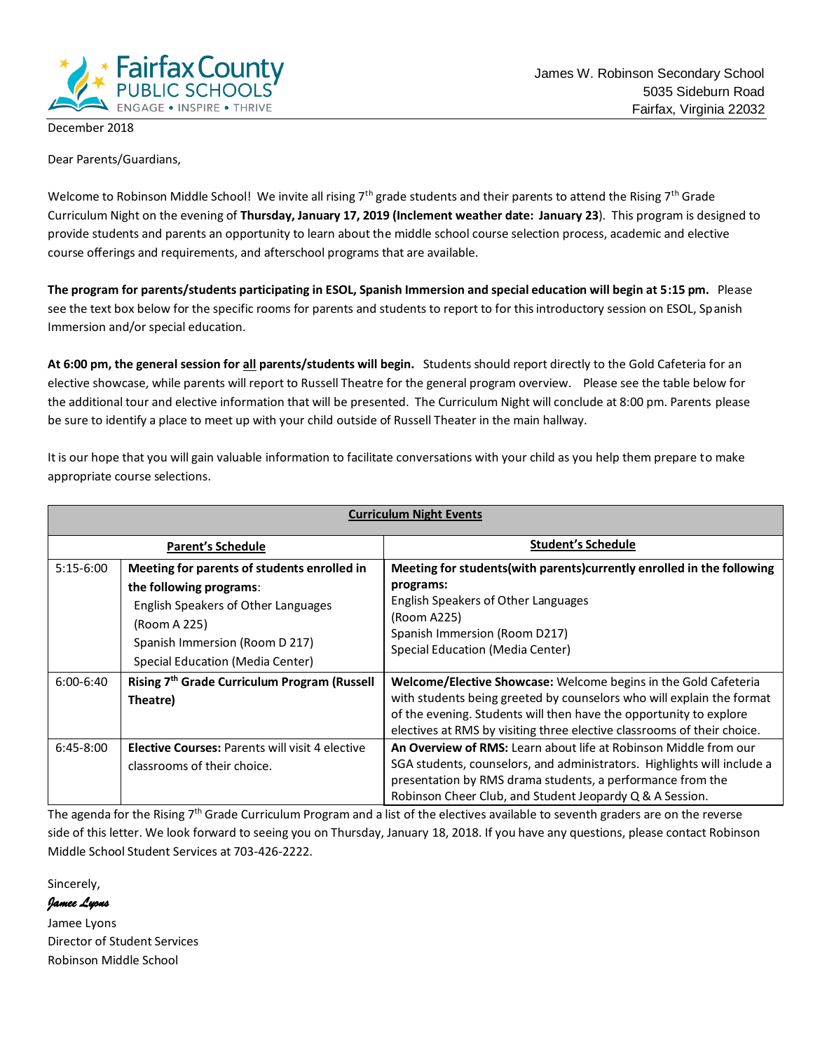

December 2018

Dear Parents/Guardians,

Welcome to Robinson Middle School! We invite all rising 7<sup>th</sup> grade students and their parents to attend the Rising 7<sup>th</sup> Grade Curriculum Night on the evening of **Thursday, January 17, 2019 (Inclement weather date: January 23**). This program is designed to provide students and parents an opportunity to learn about the middle school course selection process, academic and elective course offerings and requirements, and afterschool programs that are available.

**The program for parents/students participating in ESOL, Spanish Immersion and special education will begin at 5:15 pm.** Please see the text box below for the specific rooms for parents and students to report to for this introductory session on ESOL, Spanish Immersion and/or special education.

**At 6:00 pm, the general session for all parents/students will begin.** Students should report directly to the Gold Cafeteria for an elective showcase, while parents will report to Russell Theatre for the general program overview. Please see the table below for the additional tour and elective information that will be presented. The Curriculum Night will conclude at 8:00 pm. Parents please be sure to identify a place to meet up with your child outside of Russell Theater in the main hallway.

It is our hope that you will gain valuable information to facilitate conversations with your child as you help them prepare to make appropriate course selections.

| <b>Curriculum Night Events</b> |                                                                                                                                                                                                     |                                                                                                                                                                                                                                                                                           |  |  |  |
|--------------------------------|-----------------------------------------------------------------------------------------------------------------------------------------------------------------------------------------------------|-------------------------------------------------------------------------------------------------------------------------------------------------------------------------------------------------------------------------------------------------------------------------------------------|--|--|--|
| <b>Parent's Schedule</b>       |                                                                                                                                                                                                     | Student's Schedule                                                                                                                                                                                                                                                                        |  |  |  |
| $5:15-6:00$                    | Meeting for parents of students enrolled in<br>the following programs:<br>English Speakers of Other Languages<br>(Room A 225)<br>Spanish Immersion (Room D 217)<br>Special Education (Media Center) | Meeting for students (with parents) currently enrolled in the following<br>programs:<br>English Speakers of Other Languages<br>(Room A225)<br>Spanish Immersion (Room D217)<br>Special Education (Media Center)                                                                           |  |  |  |
| $6:00 - 6:40$                  | Rising 7 <sup>th</sup> Grade Curriculum Program (Russell<br>Theatre)                                                                                                                                | Welcome/Elective Showcase: Welcome begins in the Gold Cafeteria<br>with students being greeted by counselors who will explain the format<br>of the evening. Students will then have the opportunity to explore<br>electives at RMS by visiting three elective classrooms of their choice. |  |  |  |
| $6:45-8:00$                    | <b>Elective Courses: Parents will visit 4 elective</b><br>classrooms of their choice.                                                                                                               | An Overview of RMS: Learn about life at Robinson Middle from our<br>SGA students, counselors, and administrators. Highlights will include a<br>presentation by RMS drama students, a performance from the<br>Robinson Cheer Club, and Student Jeopardy Q & A Session.                     |  |  |  |

The agenda for the Rising  $7<sup>th</sup>$  Grade Curriculum Program and a list of the electives available to seventh graders are on the reverse side of this letter. We look forward to seeing you on Thursday, January 18, 2018. If you have any questions, please contact Robinson Middle School Student Services at 703-426-2222.

Sincerely,

#### *Jamee Lyons*

Jamee Lyons Director of Student Services Robinson Middle School